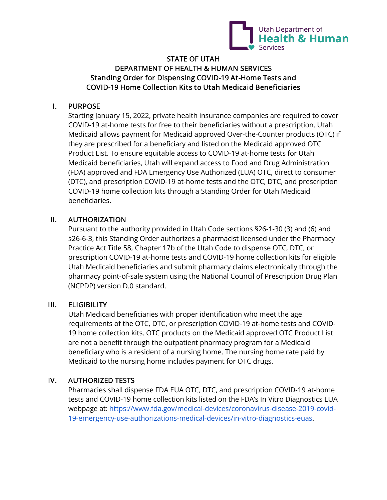

## STATE OF UTAH DEPARTMENT OF HEALTH & HUMAN SERVICES Standing Order for Dispensing COVID-19 At-Home Tests and COVID-19 Home Collection Kits to Utah Medicaid Beneficiaries

### I. PURPOSE

Starting January 15, 2022, private health insurance companies are required to cover COVID-19 at-home tests for free to their beneficiaries without a prescription. Utah Medicaid allows payment for Medicaid approved Over-the-Counter products (OTC) if they are prescribed for a beneficiary and listed on the Medicaid approved OTC Product List. To ensure equitable access to COVID-19 at-home tests for Utah Medicaid beneficiaries, Utah will expand access to Food and Drug Administration (FDA) approved and FDA Emergency Use Authorized (EUA) OTC, direct to consumer (DTC), and prescription COVID-19 at-home tests and the OTC, DTC, and prescription COVID-19 home collection kits through a Standing Order for Utah Medicaid beneficiaries.

### II. AUTHORIZATION

Pursuant to the authority provided in Utah Code sections §26-1-30 (3) and (6) and §26-6-3, this Standing Order authorizes a pharmacist licensed under the Pharmacy Practice Act Title 58, Chapter 17b of the Utah Code to dispense OTC, DTC, or prescription COVID-19 at-home tests and COVID-19 home collection kits for eligible Utah Medicaid beneficiaries and submit pharmacy claims electronically through the pharmacy point-of-sale system using the National Council of Prescription Drug Plan (NCPDP) version D.0 standard.

#### III. ELIGIBILITY

Utah Medicaid beneficiaries with proper identification who meet the age requirements of the OTC, DTC, or prescription COVID-19 at-home tests and COVID-19 home collection kits. OTC products on the Medicaid approved OTC Product List are not a benefit through the outpatient pharmacy program for a Medicaid beneficiary who is a resident of a nursing home. The nursing home rate paid by Medicaid to the nursing home includes payment for OTC drugs.

#### IV. AUTHORIZED TESTS

Pharmacies shall dispense FDA EUA OTC, DTC, and prescription COVID-19 at-home tests and COVID-19 home collection kits listed on the FDA's In Vitro Diagnostics EUA webpage at: https://www.fda.gov/medical-devices/coronavirus-disease-2019-covid-19-emergency-use-authorizations-medical-devices/in-vitro-diagnostics-euas.